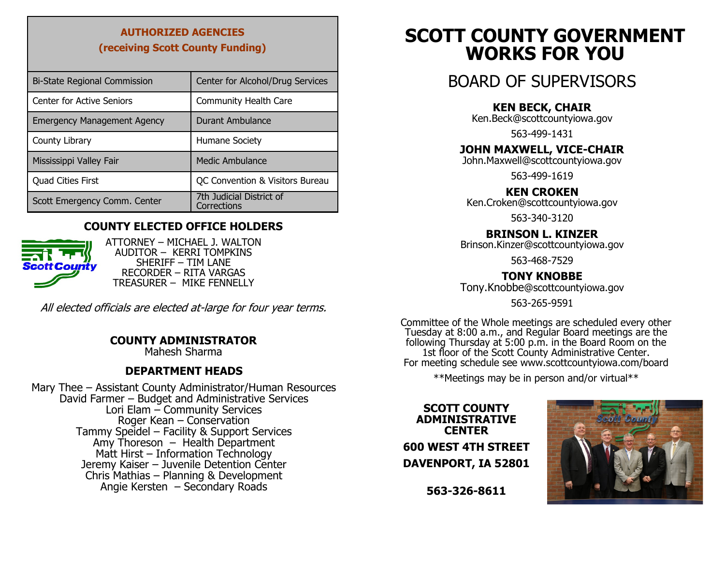### **AUTHORIZED AGENCIES (receiving Scott County Funding)**

| <b>Bi-State Regional Commission</b> | Center for Alcohol/Drug Services        |
|-------------------------------------|-----------------------------------------|
| <b>Center for Active Seniors</b>    | <b>Community Health Care</b>            |
| <b>Emergency Management Agency</b>  | Durant Ambulance                        |
| County Library                      | Humane Society                          |
| Mississippi Valley Fair             | <b>Medic Ambulance</b>                  |
| <b>Quad Cities First</b>            | QC Convention & Visitors Bureau         |
| Scott Emergency Comm. Center        | 7th Judicial District of<br>Corrections |

#### **COUNTY ELECTED OFFICE HOLDERS**



ATTORNEY – MICHAEL J. WALTON AUDITOR – KERRI TOMPKINS SHERIFF – TIM LANE RECORDER – RITA VARGAS TREASURER – MIKE FENNELLY

All elected officials are elected at-large for four year terms.

#### **COUNTY ADMINISTRATOR**

Mahesh Sharma

#### **DEPARTMENT HEADS**

Mary Thee – Assistant County Administrator/Human Resources David Farmer – Budget and Administrative Services Lori Elam – Community Services Roger Kean – Conservation Tammy Speidel – Facility & Support Services Amy Thoreson  $-$  Health Department Matt Hirst – Information Technology Jeremy Kaiser – Juvenile Detention Center Chris Mathias – Planning & Development Angie Kersten – Secondary Roads

## **SCOTT COUNTY GOVERNMENT WORKS FOR YOU**

### BOARD OF SUPERVISORS

#### **KEN BECK, CHAIR**

Ken.Beck@scottcountyiowa.gov

563-499-1431

#### **JOHN MAXWELL, VICE-CHAIR**

[John.Maxwell@scottcountyiowa.gov](mailto:Brinson.Kinzer@scottcountyiowa.com)

563-499-1619

#### **KEN CROKEN**

Ken.Croken@scottcountyiowa.gov

563-340-3120

#### **BRINSON L. KINZER**

[Brinson.Kinzer@scottcountyiowa.gov](mailto:Brinson.Kinzer@scottcountyiowa.com)

563-468-7529

#### **TONY KNOBBE**

Tony.Knobbe[@scottcountyiowa.gov](mailto:Brinson.Kinzer@scottcountyiowa.com)

563-265-9591

Committee of the Whole meetings are scheduled every other Tuesday at 8:00 a.m., and Regular Board meetings are the following Thursday at 5:00 p.m. in the Board Room on the 1st floor of the Scott County Administrative Center. For meeting schedule see www.scottcountyiowa.com/board

\*\*Meetings may be in person and/or virtual\*\*

**SCOTT COUNTY ADMINISTRATIVE CENTER 600 WEST 4TH STREET DAVENPORT, IA 52801**



**563-326-8611**